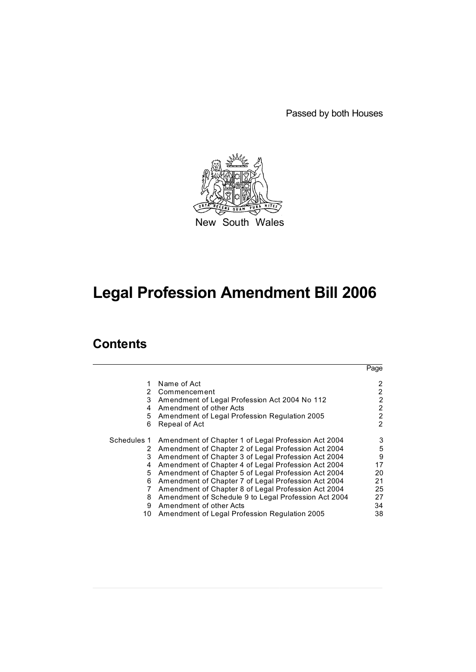Passed by both Houses



New South Wales

# **Legal Profession Amendment Bill 2006**

# **Contents**

|             |                                                      | Page           |
|-------------|------------------------------------------------------|----------------|
| 2           | Name of Act<br>Commencement                          | 2              |
| 3           | Amendment of Legal Profession Act 2004 No 112        | 2              |
|             |                                                      |                |
| 4           | Amendment of other Acts                              | 2              |
| 5           | Amendment of Legal Profession Regulation 2005        | $\overline{2}$ |
| 6           | Repeal of Act                                        | 2              |
| Schedules 1 | Amendment of Chapter 1 of Legal Profession Act 2004  | 3              |
| 2           | Amendment of Chapter 2 of Legal Profession Act 2004  | 5              |
| 3           | Amendment of Chapter 3 of Legal Profession Act 2004  | 9              |
| 4           | Amendment of Chapter 4 of Legal Profession Act 2004  | 17             |
| 5           | Amendment of Chapter 5 of Legal Profession Act 2004  | 20             |
| 6           | Amendment of Chapter 7 of Legal Profession Act 2004  | 21             |
| 7           | Amendment of Chapter 8 of Legal Profession Act 2004  | 25             |
| 8           | Amendment of Schedule 9 to Legal Profession Act 2004 | 27             |
| 9           | Amendment of other Acts                              | 34             |
| 10          | Amendment of Legal Profession Regulation 2005        | 38             |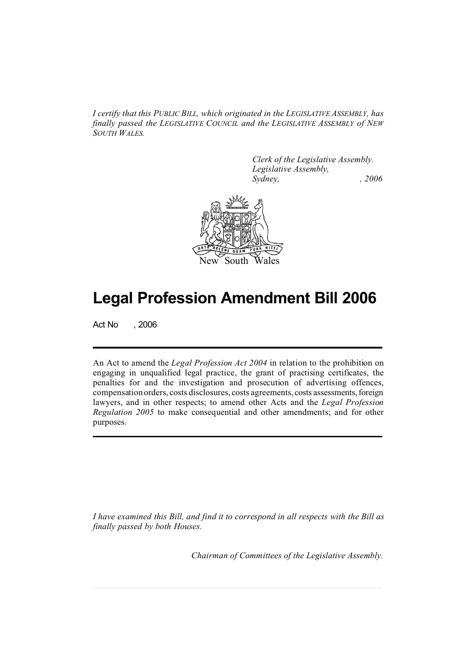*I certify that this PUBLIC BILL, which originated in the LEGISLATIVE ASSEMBLY, has finally passed the LEGISLATIVE COUNCIL and the LEGISLATIVE ASSEMBLY of NEW SOUTH WALES.*

> *Clerk of the Legislative Assembly. Legislative Assembly, Sydney, , 2006*



# **Legal Profession Amendment Bill 2006**

Act No , 2006

An Act to amend the *Legal Profession Act 2004* in relation to the prohibition on engaging in unqualified legal practice, the grant of practising certificates, the penalties for and the investigation and prosecution of advertising offences, compensation orders, costs disclosures, costs agreements, costs assessments, foreign lawyers, and in other respects; to amend other Acts and the *Legal Profession Regulation 2005* to make consequential and other amendments; and for other purposes.

*I have examined this Bill, and find it to correspond in all respects with the Bill as finally passed by both Houses.*

*Chairman of Committees of the Legislative Assembly.*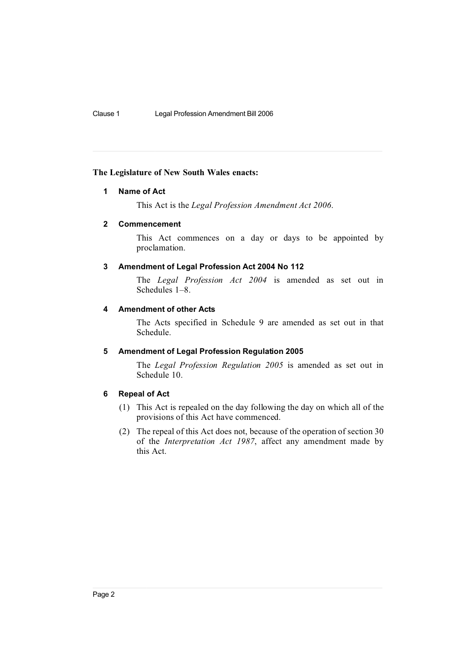#### **The Legislature of New South Wales enacts:**

## **1 Name of Act**

This Act is the *Legal Profession Amendment Act 2006*.

## **2 Commencement**

This Act commences on a day or days to be appointed by proclamation.

## **3 Amendment of Legal Profession Act 2004 No 112**

The *Legal Profession Act 2004* is amended as set out in Schedules 1–8.

## **4 Amendment of other Acts**

The Acts specified in Schedule 9 are amended as set out in that Schedule.

#### **5 Amendment of Legal Profession Regulation 2005**

The *Legal Profession Regulation 2005* is amended as set out in Schedule 10.

## **6 Repeal of Act**

- (1) This Act is repealed on the day following the day on which all of the provisions of this Act have commenced.
- (2) The repeal of this Act does not, because of the operation of section 30 of the *Interpretation Act 1987*, affect any amendment made by this Act.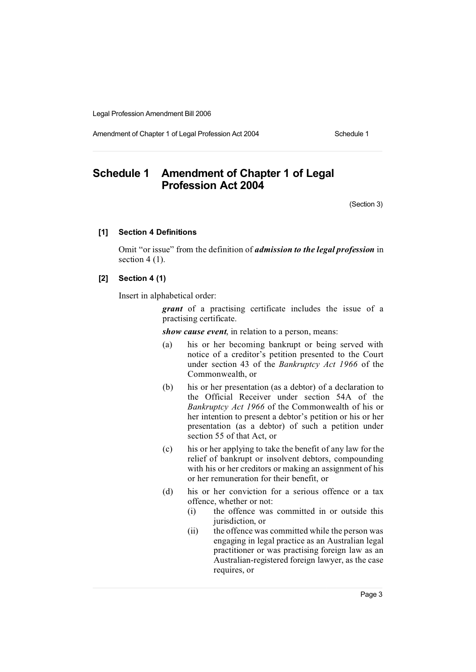Amendment of Chapter 1 of Legal Profession Act 2004 Schedule 1

# **Schedule 1 Amendment of Chapter 1 of Legal Profession Act 2004**

(Section 3)

## **[1] Section 4 Definitions**

Omit "or issue" from the definition of *admission to the legal profession* in section  $4(1)$ .

## **[2] Section 4 (1)**

Insert in alphabetical order:

*grant* of a practising certificate includes the issue of a practising certificate.

*show cause event*, in relation to a person, means:

- (a) his or her becoming bankrupt or being served with notice of a creditor's petition presented to the Court under section 43 of the *Bankruptcy Act 1966* of the Commonwealth, or
- (b) his or her presentation (as a debtor) of a declaration to the Official Receiver under section 54A of the *Bankruptcy Act 1966* of the Commonwealth of his or her intention to present a debtor's petition or his or her presentation (as a debtor) of such a petition under section 55 of that Act, or
- (c) his or her applying to take the benefit of any law for the relief of bankrupt or insolvent debtors, compounding with his or her creditors or making an assignment of his or her remuneration for their benefit, or
- (d) his or her conviction for a serious offence or a tax offence, whether or not:<br>(i) the offence was
	- the offence was committed in or outside this jurisdiction, or
	- (ii) the offence was committed while the person was engaging in legal practice as an Australian legal practitioner or was practising foreign law as an Australian-registered foreign lawyer, as the case requires, or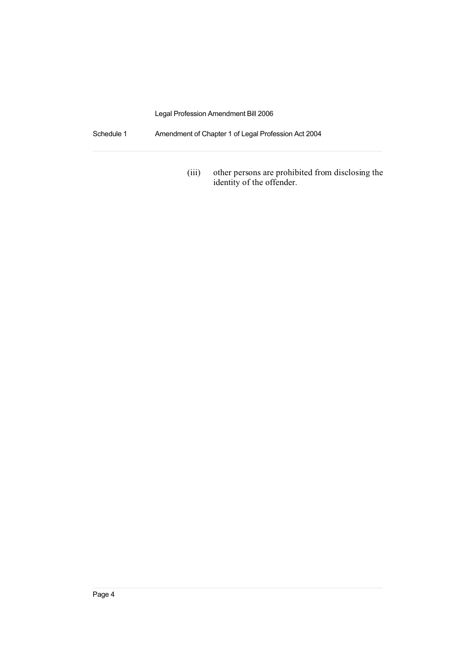Schedule 1 Amendment of Chapter 1 of Legal Profession Act 2004

(iii) other persons are prohibited from disclosing the identity of the offender.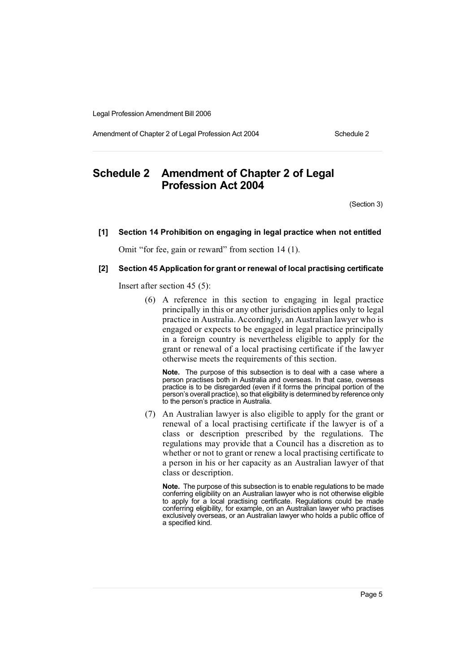Amendment of Chapter 2 of Legal Profession Act 2004 Schedule 2

# **Schedule 2 Amendment of Chapter 2 of Legal Profession Act 2004**

(Section 3)

#### **[1] Section 14 Prohibition on engaging in legal practice when not entitled**

Omit "for fee, gain or reward" from section 14 (1).

#### **[2] Section 45 Application for grant or renewal of local practising certificate**

Insert after section 45 (5):

(6) A reference in this section to engaging in legal practice principally in this or any other jurisdiction applies only to legal practice in Australia. Accordingly, an Australian lawyer who is engaged or expects to be engaged in legal practice principally in a foreign country is nevertheless eligible to apply for the grant or renewal of a local practising certificate if the lawyer otherwise meets the requirements of this section.

**Note.** The purpose of this subsection is to deal with a case where a person practises both in Australia and overseas. In that case, overseas practice is to be disregarded (even if it forms the principal portion of the person's overall practice), so that eligibility is determined by reference only to the person's practice in Australia.

(7) An Australian lawyer is also eligible to apply for the grant or renewal of a local practising certificate if the lawyer is of a class or description prescribed by the regulations. The regulations may provide that a Council has a discretion as to whether or not to grant or renew a local practising certificate to a person in his or her capacity as an Australian lawyer of that class or description.

**Note.** The purpose of this subsection is to enable regulations to be made conferring eligibility on an Australian lawyer who is not otherwise eligible to apply for a local practising certificate. Regulations could be made conferring eligibility, for example, on an Australian lawyer who practises exclusively overseas, or an Australian lawyer who holds a public office of a specified kind.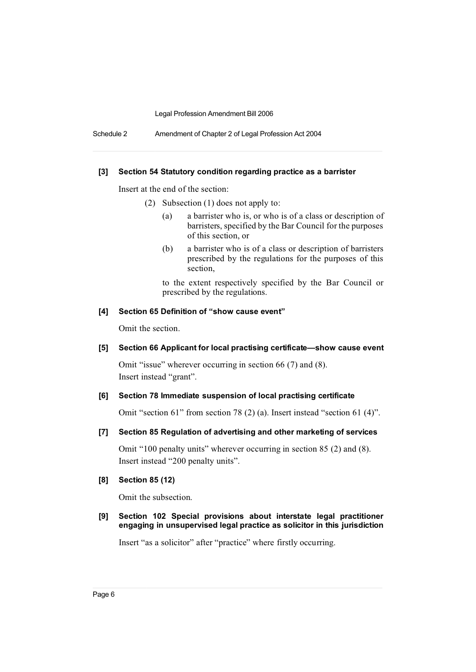Schedule 2 Amendment of Chapter 2 of Legal Profession Act 2004

#### **[3] Section 54 Statutory condition regarding practice as a barrister**

Insert at the end of the section:

- (2) Subsection (1) does not apply to:
	- (a) a barrister who is, or who is of a class or description of barristers, specified by the Bar Council for the purposes of this section, or
	- (b) a barrister who is of a class or description of barristers prescribed by the regulations for the purposes of this section,

to the extent respectively specified by the Bar Council or prescribed by the regulations.

#### **[4] Section 65 Definition of "show cause event"**

Omit the section.

### **[5] Section 66 Applicant for local practising certificate—show cause event**

Omit "issue" wherever occurring in section 66 (7) and (8). Insert instead "grant".

#### **[6] Section 78 Immediate suspension of local practising certificate**

Omit "section 61" from section 78 (2) (a). Insert instead "section 61 (4)".

#### **[7] Section 85 Regulation of advertising and other marketing of services**

Omit "100 penalty units" wherever occurring in section 85 (2) and (8). Insert instead "200 penalty units".

#### **[8] Section 85 (12)**

Omit the subsection.

## **[9] Section 102 Special provisions about interstate legal practitioner engaging in unsupervised legal practice as solicitor in this jurisdiction**

Insert "as a solicitor" after "practice" where firstly occurring.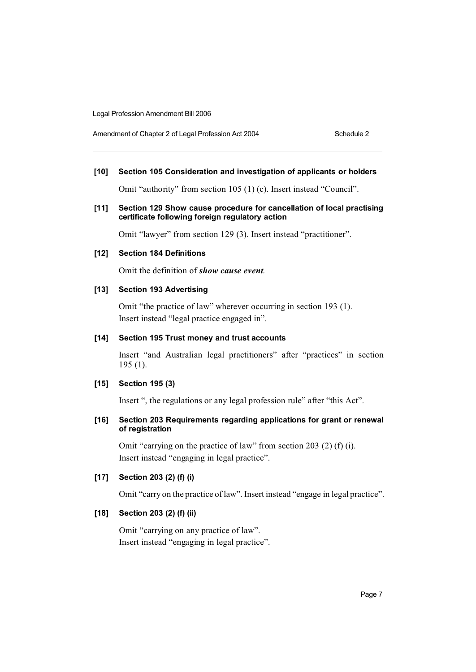Amendment of Chapter 2 of Legal Profession Act 2004 Schedule 2

## **[10] Section 105 Consideration and investigation of applicants or holders**

Omit "authority" from section 105 (1) (c). Insert instead "Council".

#### **[11] Section 129 Show cause procedure for cancellation of local practising certificate following foreign regulatory action**

Omit "lawyer" from section 129 (3). Insert instead "practitioner".

## **[12] Section 184 Definitions**

Omit the definition of *show cause event*.

## **[13] Section 193 Advertising**

Omit "the practice of law" wherever occurring in section 193 (1). Insert instead "legal practice engaged in".

#### **[14] Section 195 Trust money and trust accounts**

Insert "and Australian legal practitioners" after "practices" in section 195 (1).

#### **[15] Section 195 (3)**

Insert ", the regulations or any legal profession rule" after "this Act".

## **[16] Section 203 Requirements regarding applications for grant or renewal of registration**

Omit "carrying on the practice of law" from section 203 (2) (f) (i). Insert instead "engaging in legal practice".

## **[17] Section 203 (2) (f) (i)**

Omit "carry on the practice of law". Insert instead "engage in legal practice".

## **[18] Section 203 (2) (f) (ii)**

Omit "carrying on any practice of law". Insert instead "engaging in legal practice".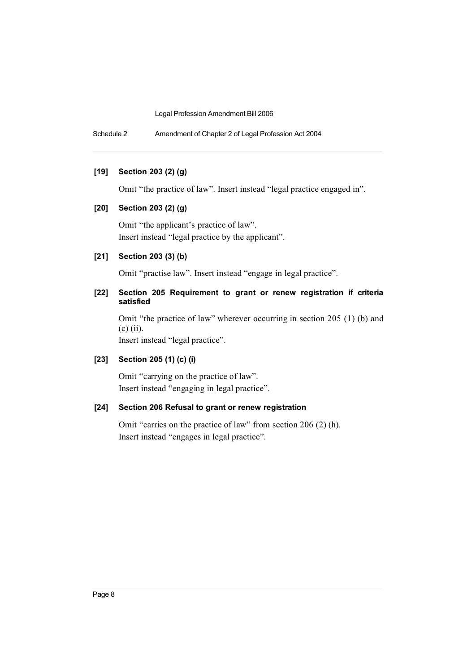Schedule 2 Amendment of Chapter 2 of Legal Profession Act 2004

#### **[19] Section 203 (2) (g)**

Omit "the practice of law". Insert instead "legal practice engaged in".

## **[20] Section 203 (2) (g)**

Omit "the applicant's practice of law". Insert instead "legal practice by the applicant".

## **[21] Section 203 (3) (b)**

Omit "practise law". Insert instead "engage in legal practice".

## **[22] Section 205 Requirement to grant or renew registration if criteria satisfied**

Omit "the practice of law" wherever occurring in section 205 (1) (b) and (c) (ii). Insert instead "legal practice".

## **[23] Section 205 (1) (c) (i)**

Omit "carrying on the practice of law". Insert instead "engaging in legal practice".

## **[24] Section 206 Refusal to grant or renew registration**

Omit "carries on the practice of law" from section 206 (2) (h). Insert instead "engages in legal practice".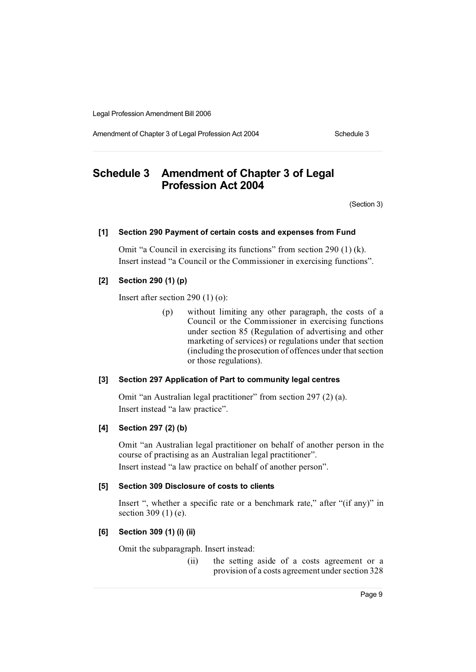Amendment of Chapter 3 of Legal Profession Act 2004 Schedule 3

# **Schedule 3 Amendment of Chapter 3 of Legal Profession Act 2004**

(Section 3)

#### **[1] Section 290 Payment of certain costs and expenses from Fund**

Omit "a Council in exercising its functions" from section 290 (1) (k). Insert instead "a Council or the Commissioner in exercising functions".

## **[2] Section 290 (1) (p)**

Insert after section 290 (1) (o):

(p) without limiting any other paragraph, the costs of a Council or the Commissioner in exercising functions under section 85 (Regulation of advertising and other marketing of services) or regulations under that section (including the prosecution of offences under that section or those regulations).

## **[3] Section 297 Application of Part to community legal centres**

Omit "an Australian legal practitioner" from section 297 (2) (a). Insert instead "a law practice".

## **[4] Section 297 (2) (b)**

Omit "an Australian legal practitioner on behalf of another person in the course of practising as an Australian legal practitioner". Insert instead "a law practice on behalf of another person".

#### **[5] Section 309 Disclosure of costs to clients**

Insert ", whether a specific rate or a benchmark rate," after "(if any)" in section 309 (1) (e).

## **[6] Section 309 (1) (i) (ii)**

Omit the subparagraph. Insert instead:

(ii) the setting aside of a costs agreement or a provision of a costs agreement under section 328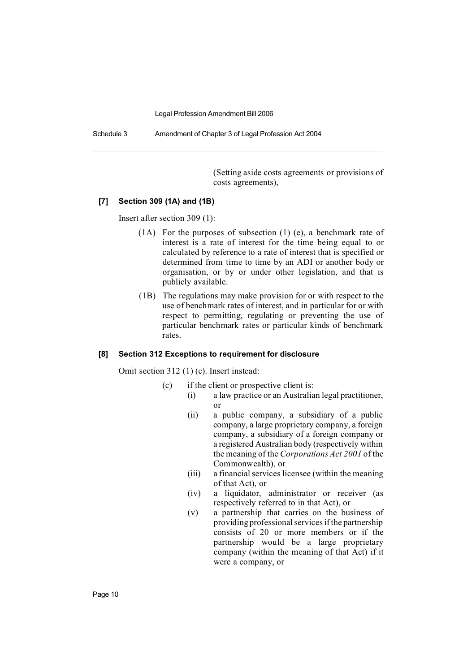Schedule 3 Amendment of Chapter 3 of Legal Profession Act 2004

(Setting aside costs agreements or provisions of costs agreements),

#### **[7] Section 309 (1A) and (1B)**

Insert after section 309 (1):

- (1A) For the purposes of subsection (1) (e), a benchmark rate of interest is a rate of interest for the time being equal to or calculated by reference to a rate of interest that is specified or determined from time to time by an ADI or another body or organisation, or by or under other legislation, and that is publicly available.
- (1B) The regulations may make provision for or with respect to the use of benchmark rates of interest, and in particular for or with respect to permitting, regulating or preventing the use of particular benchmark rates or particular kinds of benchmark rates.

#### **[8] Section 312 Exceptions to requirement for disclosure**

Omit section 312 (1) (c). Insert instead:

- (c) if the client or prospective client is:
	- (i) a law practice or an Australian legal practitioner, or
		- (ii) a public company, a subsidiary of a public company, a large proprietary company, a foreign company, a subsidiary of a foreign company or a registered Australian body (respectively within the meaning of the *Corporations Act 2001* of the Commonwealth), or
		- (iii) a financial services licensee (within the meaning of that Act), or
		- (iv) a liquidator, administrator or receiver (as respectively referred to in that Act), or
		- (v) a partnership that carries on the business of providing professional services if the partnership consists of 20 or more members or if the partnership would be a large proprietary company (within the meaning of that Act) if it were a company, or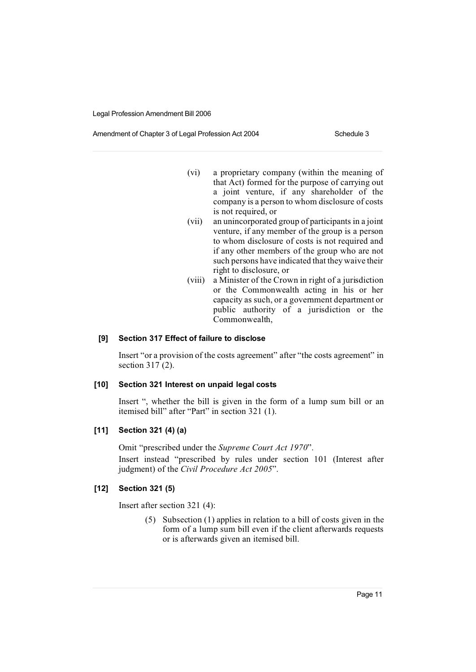Amendment of Chapter 3 of Legal Profession Act 2004 Schedule 3

- (vi) a proprietary company (within the meaning of that Act) formed for the purpose of carrying out a joint venture, if any shareholder of the company is a person to whom disclosure of costs is not required, or
- (vii) an unincorporated group of participants in a joint venture, if any member of the group is a person to whom disclosure of costs is not required and if any other members of the group who are not such persons have indicated that they waive their right to disclosure, or
- (viii) a Minister of the Crown in right of a jurisdiction or the Commonwealth acting in his or her capacity as such, or a government department or public authority of a jurisdiction or the Commonwealth,

## **[9] Section 317 Effect of failure to disclose**

Insert "or a provision of the costs agreement" after "the costs agreement" in section 317 (2).

## **[10] Section 321 Interest on unpaid legal costs**

Insert ", whether the bill is given in the form of a lump sum bill or an itemised bill" after "Part" in section 321 (1).

#### **[11] Section 321 (4) (a)**

Omit "prescribed under the *Supreme Court Act 1970*". Insert instead "prescribed by rules under section 101 (Interest after judgment) of the *Civil Procedure Act 2005*".

#### **[12] Section 321 (5)**

Insert after section 321 (4):

(5) Subsection (1) applies in relation to a bill of costs given in the form of a lump sum bill even if the client afterwards requests or is afterwards given an itemised bill.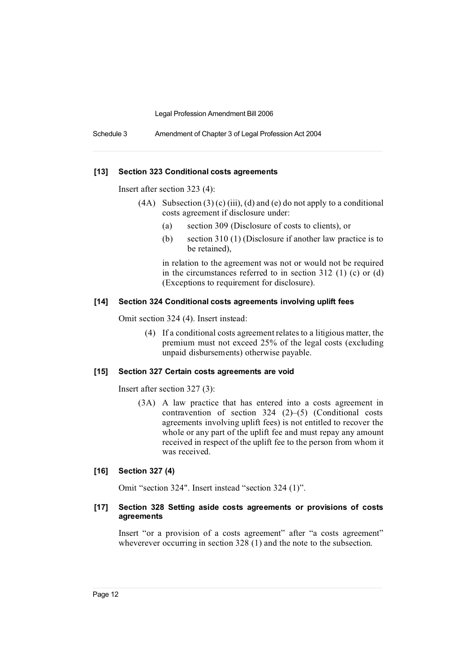Schedule 3 Amendment of Chapter 3 of Legal Profession Act 2004

#### **[13] Section 323 Conditional costs agreements**

Insert after section 323 (4):

- (4A) Subsection  $(3)$  (c) (iii), (d) and (e) do not apply to a conditional costs agreement if disclosure under:
	- (a) section 309 (Disclosure of costs to clients), or
	- (b) section 310 (1) (Disclosure if another law practice is to be retained),

in relation to the agreement was not or would not be required in the circumstances referred to in section 312 (1) (c) or (d) (Exceptions to requirement for disclosure).

#### **[14] Section 324 Conditional costs agreements involving uplift fees**

Omit section 324 (4). Insert instead:

(4) If a conditional costs agreement relatesto a litigious matter, the premium must not exceed 25% of the legal costs (excluding unpaid disbursements) otherwise payable.

#### **[15] Section 327 Certain costs agreements are void**

Insert after section 327 (3):

(3A) A law practice that has entered into a costs agreement in contravention of section 324 (2)–(5) (Conditional costs agreements involving uplift fees) is not entitled to recover the whole or any part of the uplift fee and must repay any amount received in respect of the uplift fee to the person from whom it was received.

#### **[16] Section 327 (4)**

Omit "section 324". Insert instead "section 324 (1)".

#### **[17] Section 328 Setting aside costs agreements or provisions of costs agreements**

Insert "or a provision of a costs agreement" after "a costs agreement" wheverever occurring in section 328 (1) and the note to the subsection.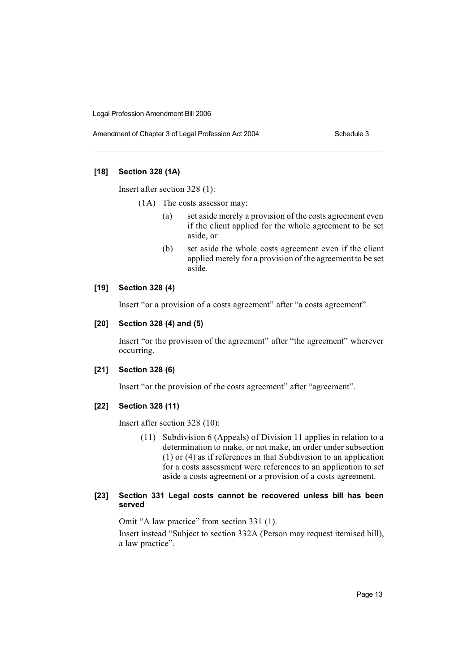Amendment of Chapter 3 of Legal Profession Act 2004 Schedule 3

## **[18] Section 328 (1A)**

Insert after section 328 (1):

- (1A) The costs assessor may:
	- (a) set aside merely a provision of the costs agreement even if the client applied for the whole agreement to be set aside, or
	- (b) set aside the whole costs agreement even if the client applied merely for a provision of the agreement to be set aside.

#### **[19] Section 328 (4)**

Insert "or a provision of a costs agreement" after "a costs agreement".

## **[20] Section 328 (4) and (5)**

Insert "or the provision of the agreement" after "the agreement" wherever occurring.

## **[21] Section 328 (6)**

Insert "or the provision of the costs agreement" after "agreement".

## **[22] Section 328 (11)**

Insert after section 328 (10):

(11) Subdivision 6 (Appeals) of Division 11 applies in relation to a determination to make, or not make, an order under subsection (1) or (4) as if references in that Subdivision to an application for a costs assessment were references to an application to set aside a costs agreement or a provision of a costs agreement.

## **[23] Section 331 Legal costs cannot be recovered unless bill has been served**

Omit "A law practice" from section 331 (1). Insert instead "Subject to section 332A (Person may request itemised bill), a law practice".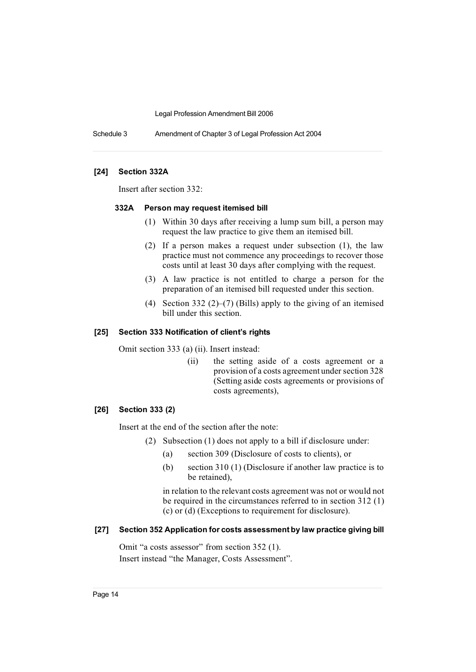Schedule 3 Amendment of Chapter 3 of Legal Profession Act 2004

#### **[24] Section 332A**

Insert after section 332:

#### **332A Person may request itemised bill**

- (1) Within 30 days after receiving a lump sum bill, a person may request the law practice to give them an itemised bill.
- (2) If a person makes a request under subsection (1), the law practice must not commence any proceedings to recover those costs until at least 30 days after complying with the request.
- (3) A law practice is not entitled to charge a person for the preparation of an itemised bill requested under this section.
- (4) Section 332 (2)–(7) (Bills) apply to the giving of an itemised bill under this section.

#### **[25] Section 333 Notification of client's rights**

Omit section 333 (a) (ii). Insert instead:

(ii) the setting aside of a costs agreement or a provision of a costs agreement under section 328 (Setting aside costs agreements or provisions of costs agreements),

#### **[26] Section 333 (2)**

Insert at the end of the section after the note:

- (2) Subsection (1) does not apply to a bill if disclosure under:
	- (a) section 309 (Disclosure of costs to clients), or
	- (b) section 310 (1) (Disclosure if another law practice is to be retained),

in relation to the relevant costs agreement was not or would not be required in the circumstances referred to in section 312 (1) (c) or (d) (Exceptions to requirement for disclosure).

#### **[27] Section 352 Application for costs assessment by law practice giving bill**

Omit "a costs assessor" from section 352 (1). Insert instead "the Manager, Costs Assessment".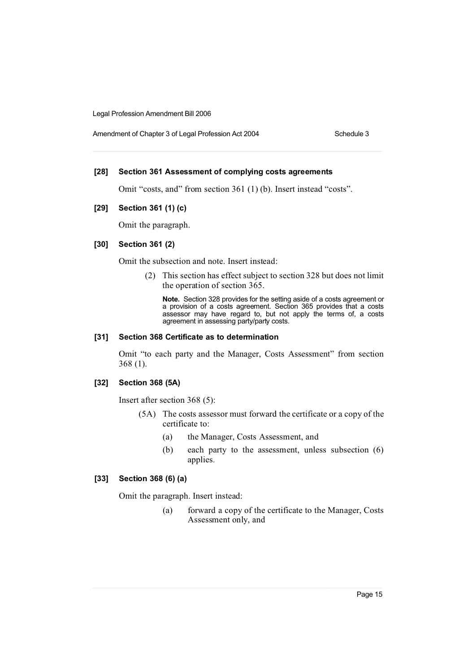Amendment of Chapter 3 of Legal Profession Act 2004 Schedule 3

#### **[28] Section 361 Assessment of complying costs agreements**

Omit "costs, and" from section 361 (1) (b). Insert instead "costs".

## **[29] Section 361 (1) (c)**

Omit the paragraph.

## **[30] Section 361 (2)**

Omit the subsection and note. Insert instead:

(2) This section has effect subject to section 328 but does not limit the operation of section 365.

**Note.** Section 328 provides for the setting aside of a costs agreement or a provision of a costs agreement. Section 365 provides that a costs assessor may have regard to, but not apply the terms of, a costs agreement in assessing party/party costs.

## **[31] Section 368 Certificate as to determination**

Omit "to each party and the Manager, Costs Assessment" from section 368 (1).

#### **[32] Section 368 (5A)**

Insert after section 368 (5):

- (5A) The costs assessor must forward the certificate or a copy of the certificate to:
	- (a) the Manager, Costs Assessment, and
	- (b) each party to the assessment, unless subsection (6) applies.

## **[33] Section 368 (6) (a)**

Omit the paragraph. Insert instead:

(a) forward a copy of the certificate to the Manager, Costs Assessment only, and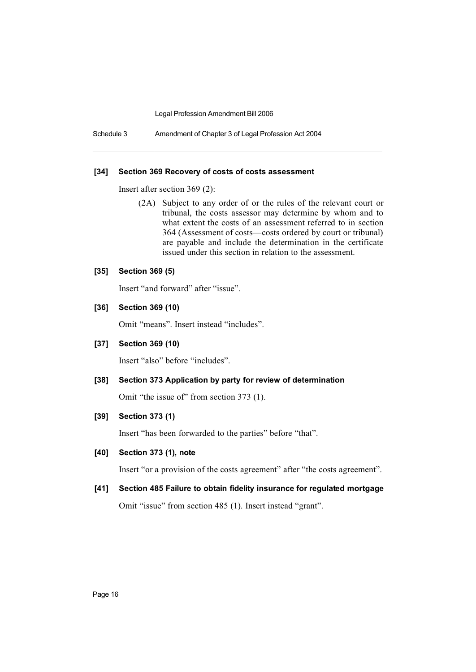Schedule 3 Amendment of Chapter 3 of Legal Profession Act 2004

#### **[34] Section 369 Recovery of costs of costs assessment**

Insert after section 369 (2):

(2A) Subject to any order of or the rules of the relevant court or tribunal, the costs assessor may determine by whom and to what extent the costs of an assessment referred to in section 364 (Assessment of costs—costs ordered by court or tribunal) are payable and include the determination in the certificate issued under this section in relation to the assessment.

## **[35] Section 369 (5)**

Insert "and forward" after "issue".

#### **[36] Section 369 (10)**

Omit "means". Insert instead "includes".

#### **[37] Section 369 (10)**

Insert "also" before "includes".

## **[38] Section 373 Application by party for review of determination**

Omit "the issue of" from section 373 (1).

## **[39] Section 373 (1)**

Insert "has been forwarded to the parties" before "that".

#### **[40] Section 373 (1), note**

Insert "or a provision of the costs agreement" after "the costs agreement".

## **[41] Section 485 Failure to obtain fidelity insurance for regulated mortgage**

Omit "issue" from section 485 (1). Insert instead "grant".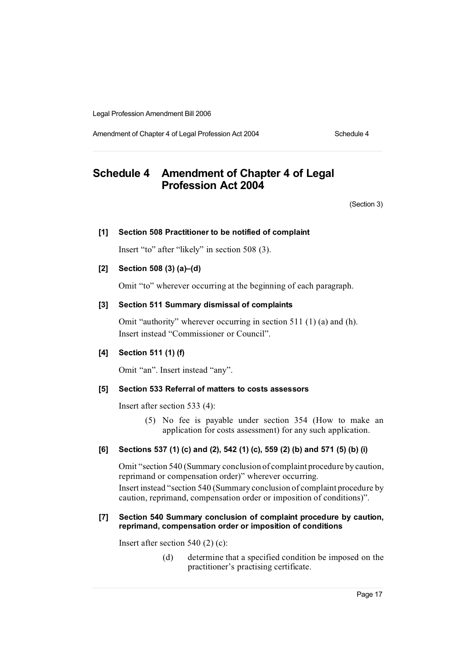Amendment of Chapter 4 of Legal Profession Act 2004 Schedule 4

# **Schedule 4 Amendment of Chapter 4 of Legal Profession Act 2004**

(Section 3)

#### **[1] Section 508 Practitioner to be notified of complaint**

Insert "to" after "likely" in section 508 (3).

## **[2] Section 508 (3) (a)–(d)**

Omit "to" wherever occurring at the beginning of each paragraph.

## **[3] Section 511 Summary dismissal of complaints**

Omit "authority" wherever occurring in section 511 (1) (a) and (h). Insert instead "Commissioner or Council".

## **[4] Section 511 (1) (f)**

Omit "an". Insert instead "any".

#### **[5] Section 533 Referral of matters to costs assessors**

Insert after section 533 (4):

(5) No fee is payable under section 354 (How to make an application for costs assessment) for any such application.

#### **[6] Sections 537 (1) (c) and (2), 542 (1) (c), 559 (2) (b) and 571 (5) (b) (i)**

Omit "section 540 (Summary conclusion of complaint procedure by caution, reprimand or compensation order)" wherever occurring. Insert instead "section 540 (Summary conclusion of complaint procedure by caution, reprimand, compensation order or imposition of conditions)".

#### **[7] Section 540 Summary conclusion of complaint procedure by caution, reprimand, compensation order or imposition of conditions**

Insert after section 540 (2) (c):

(d) determine that a specified condition be imposed on the practitioner's practising certificate.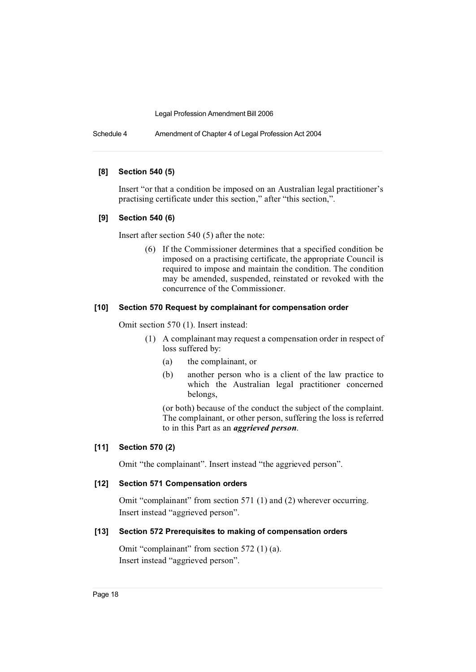Schedule 4 Amendment of Chapter 4 of Legal Profession Act 2004

#### **[8] Section 540 (5)**

Insert "or that a condition be imposed on an Australian legal practitioner's practising certificate under this section," after "this section,".

#### **[9] Section 540 (6)**

Insert after section 540 (5) after the note:

(6) If the Commissioner determines that a specified condition be imposed on a practising certificate, the appropriate Council is required to impose and maintain the condition. The condition may be amended, suspended, reinstated or revoked with the concurrence of the Commissioner.

#### **[10] Section 570 Request by complainant for compensation order**

Omit section 570 (1). Insert instead:

- (1) A complainant may request a compensation order in respect of loss suffered by:
	- (a) the complainant, or
	- (b) another person who is a client of the law practice to which the Australian legal practitioner concerned belongs,

(or both) because of the conduct the subject of the complaint. The complainant, or other person, suffering the loss is referred to in this Part as an *aggrieved person*.

## **[11] Section 570 (2)**

Omit "the complainant". Insert instead "the aggrieved person".

#### **[12] Section 571 Compensation orders**

Omit "complainant" from section 571 (1) and (2) wherever occurring. Insert instead "aggrieved person".

## **[13] Section 572 Prerequisites to making of compensation orders**

Omit "complainant" from section 572 (1) (a). Insert instead "aggrieved person".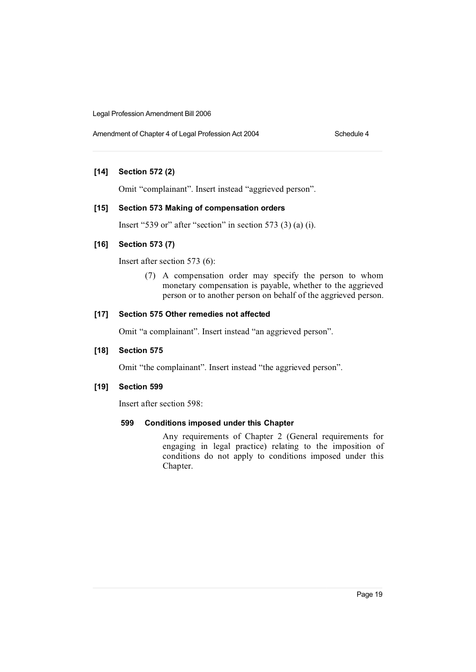Amendment of Chapter 4 of Legal Profession Act 2004 Schedule 4

## **[14] Section 572 (2)**

Omit "complainant". Insert instead "aggrieved person".

#### **[15] Section 573 Making of compensation orders**

Insert "539 or" after "section" in section 573 (3) (a) (i).

#### **[16] Section 573 (7)**

Insert after section 573 (6):

(7) A compensation order may specify the person to whom monetary compensation is payable, whether to the aggrieved person or to another person on behalf of the aggrieved person.

## **[17] Section 575 Other remedies not affected**

Omit "a complainant". Insert instead "an aggrieved person".

## **[18] Section 575**

Omit "the complainant". Insert instead "the aggrieved person".

#### **[19] Section 599**

Insert after section 598:

#### **599 Conditions imposed under this Chapter**

Any requirements of Chapter 2 (General requirements for engaging in legal practice) relating to the imposition of conditions do not apply to conditions imposed under this Chapter.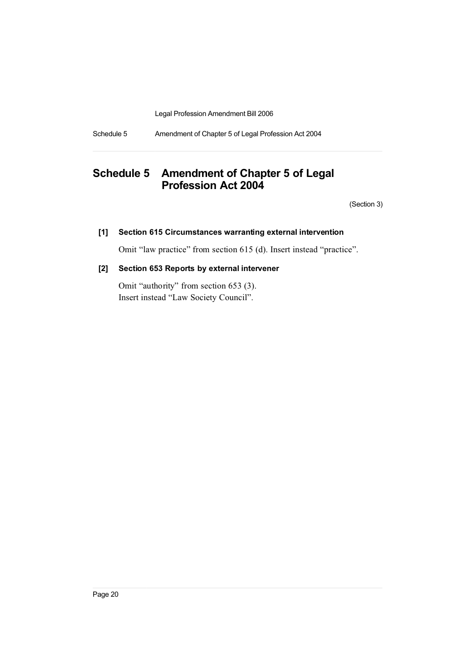Schedule 5 Amendment of Chapter 5 of Legal Profession Act 2004

# **Schedule 5 Amendment of Chapter 5 of Legal Profession Act 2004**

(Section 3)

## **[1] Section 615 Circumstances warranting external intervention**

Omit "law practice" from section 615 (d). Insert instead "practice".

## **[2] Section 653 Reports by external intervener**

Omit "authority" from section 653 (3). Insert instead "Law Society Council".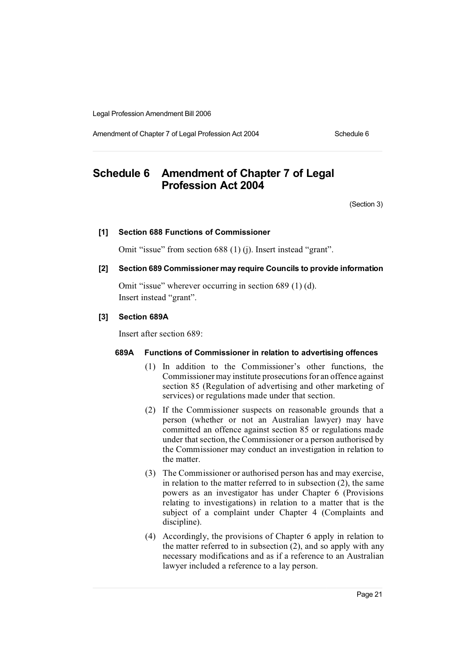Amendment of Chapter 7 of Legal Profession Act 2004 Schedule 6

# **Schedule 6 Amendment of Chapter 7 of Legal Profession Act 2004**

(Section 3)

#### **[1] Section 688 Functions of Commissioner**

Omit "issue" from section 688 (1) (j). Insert instead "grant".

#### **[2] Section 689 Commissioner may require Councils to provide information**

Omit "issue" wherever occurring in section 689 (1) (d). Insert instead "grant".

#### **[3] Section 689A**

Insert after section 689:

## **689A Functions of Commissioner in relation to advertising offences**

- (1) In addition to the Commissioner's other functions, the Commissioner may institute prosecutions for an offence against section 85 (Regulation of advertising and other marketing of services) or regulations made under that section.
- (2) If the Commissioner suspects on reasonable grounds that a person (whether or not an Australian lawyer) may have committed an offence against section 85 or regulations made under that section, the Commissioner or a person authorised by the Commissioner may conduct an investigation in relation to the matter.
- (3) The Commissioner or authorised person has and may exercise, in relation to the matter referred to in subsection (2), the same powers as an investigator has under Chapter 6 (Provisions relating to investigations) in relation to a matter that is the subject of a complaint under Chapter 4 (Complaints and discipline).
- (4) Accordingly, the provisions of Chapter 6 apply in relation to the matter referred to in subsection (2), and so apply with any necessary modifications and as if a reference to an Australian lawyer included a reference to a lay person.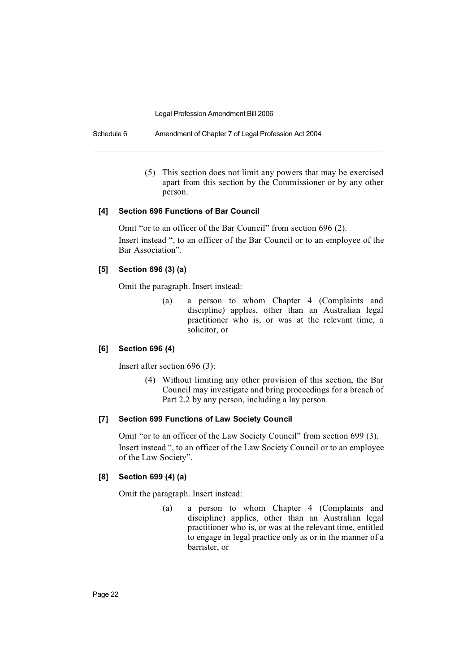Schedule 6 Amendment of Chapter 7 of Legal Profession Act 2004

(5) This section does not limit any powers that may be exercised apart from this section by the Commissioner or by any other person.

#### **[4] Section 696 Functions of Bar Council**

Omit "or to an officer of the Bar Council" from section 696 (2). Insert instead ", to an officer of the Bar Council or to an employee of the Bar Association".

## **[5] Section 696 (3) (a)**

Omit the paragraph. Insert instead:

(a) a person to whom Chapter 4 (Complaints and discipline) applies, other than an Australian legal practitioner who is, or was at the relevant time, a solicitor, or

## **[6] Section 696 (4)**

Insert after section 696 (3):

(4) Without limiting any other provision of this section, the Bar Council may investigate and bring proceedings for a breach of Part 2.2 by any person, including a lay person.

#### **[7] Section 699 Functions of Law Society Council**

Omit "or to an officer of the Law Society Council" from section 699 (3). Insert instead ", to an officer of the Law Society Council or to an employee of the Law Society".

## **[8] Section 699 (4) (a)**

Omit the paragraph. Insert instead:

(a) a person to whom Chapter 4 (Complaints and discipline) applies, other than an Australian legal practitioner who is, or was at the relevant time, entitled to engage in legal practice only as or in the manner of a barrister, or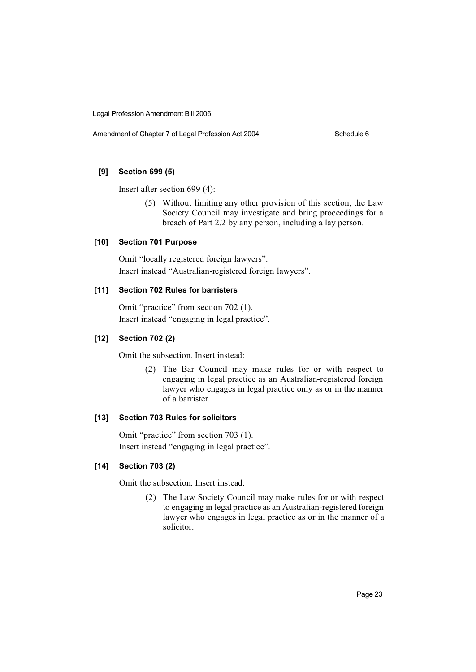Amendment of Chapter 7 of Legal Profession Act 2004 Schedule 6

## **[9] Section 699 (5)**

Insert after section 699 (4):

(5) Without limiting any other provision of this section, the Law Society Council may investigate and bring proceedings for a breach of Part 2.2 by any person, including a lay person.

## **[10] Section 701 Purpose**

Omit "locally registered foreign lawyers". Insert instead "Australian-registered foreign lawyers".

## **[11] Section 702 Rules for barristers**

Omit "practice" from section 702 (1). Insert instead "engaging in legal practice".

## **[12] Section 702 (2)**

Omit the subsection. Insert instead:

(2) The Bar Council may make rules for or with respect to engaging in legal practice as an Australian-registered foreign lawyer who engages in legal practice only as or in the manner of a barrister.

## **[13] Section 703 Rules for solicitors**

Omit "practice" from section 703 (1). Insert instead "engaging in legal practice".

## **[14] Section 703 (2)**

Omit the subsection. Insert instead:

(2) The Law Society Council may make rules for or with respect to engaging in legal practice as an Australian-registered foreign lawyer who engages in legal practice as or in the manner of a solicitor.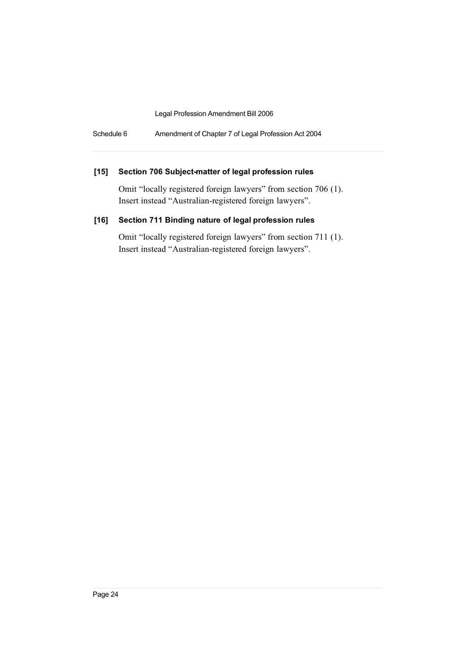Schedule 6 Amendment of Chapter 7 of Legal Profession Act 2004

## **[15] Section 706 Subject-matter of legal profession rules**

Omit "locally registered foreign lawyers" from section 706 (1). Insert instead "Australian-registered foreign lawyers".

## **[16] Section 711 Binding nature of legal profession rules**

Omit "locally registered foreign lawyers" from section 711 (1). Insert instead "Australian-registered foreign lawyers".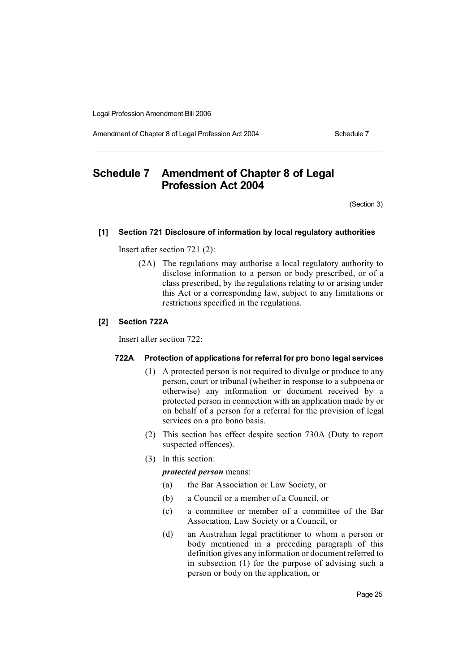Amendment of Chapter 8 of Legal Profession Act 2004 Schedule 7

# **Schedule 7 Amendment of Chapter 8 of Legal Profession Act 2004**

(Section 3)

#### **[1] Section 721 Disclosure of information by local regulatory authorities**

Insert after section 721 (2):

(2A) The regulations may authorise a local regulatory authority to disclose information to a person or body prescribed, or of a class prescribed, by the regulations relating to or arising under this Act or a corresponding law, subject to any limitations or restrictions specified in the regulations.

#### **[2] Section 722A**

Insert after section 722:

#### **722A Protection of applications for referral for pro bono legal services**

- (1) A protected person is not required to divulge or produce to any person, court or tribunal (whether in response to a subpoena or otherwise) any information or document received by a protected person in connection with an application made by or on behalf of a person for a referral for the provision of legal services on a pro bono basis.
- (2) This section has effect despite section 730A (Duty to report suspected offences).
- (3) In this section:

*protected person* means:

- (a) the Bar Association or Law Society, or
- (b) a Council or a member of a Council, or
- (c) a committee or member of a committee of the Bar Association, Law Society or a Council, or
- (d) an Australian legal practitioner to whom a person or body mentioned in a preceding paragraph of this definition gives any information or document referred to in subsection (1) for the purpose of advising such a person or body on the application, or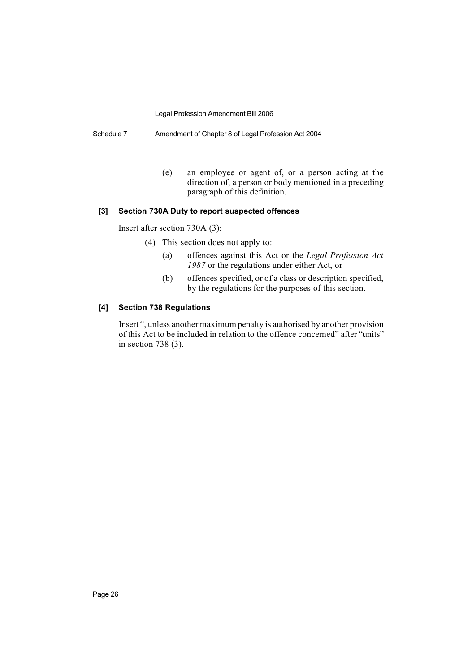Schedule 7 Amendment of Chapter 8 of Legal Profession Act 2004

(e) an employee or agent of, or a person acting at the direction of, a person or body mentioned in a preceding paragraph of this definition.

#### **[3] Section 730A Duty to report suspected offences**

Insert after section 730A (3):

- (4) This section does not apply to:
	- (a) offences against this Act or the *Legal Profession Act 1987* or the regulations under either Act, or
	- (b) offences specified, or of a class or description specified, by the regulations for the purposes of this section.

#### **[4] Section 738 Regulations**

Insert ", unless another maximum penalty is authorised by another provision of this Act to be included in relation to the offence concerned" after "units" in section 738 (3).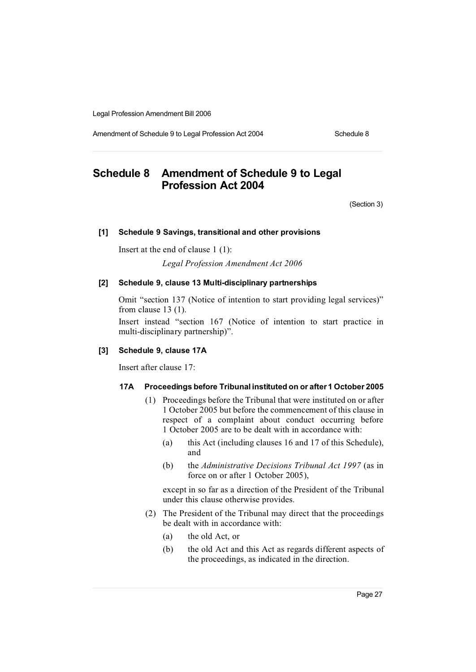Amendment of Schedule 9 to Legal Profession Act 2004 Schedule 8

# **Schedule 8 Amendment of Schedule 9 to Legal Profession Act 2004**

(Section 3)

#### **[1] Schedule 9 Savings, transitional and other provisions**

Insert at the end of clause 1 (1):

*Legal Profession Amendment Act 2006*

## **[2] Schedule 9, clause 13 Multi-disciplinary partnerships**

Omit "section 137 (Notice of intention to start providing legal services)" from clause 13 (1).

Insert instead "section 167 (Notice of intention to start practice in multi-disciplinary partnership)".

## **[3] Schedule 9, clause 17A**

Insert after clause 17:

#### **17A Proceedings before Tribunal instituted on or after 1 October 2005**

- (1) Proceedings before the Tribunal that were instituted on or after 1 October 2005 but before the commencement of this clause in respect of a complaint about conduct occurring before 1 October 2005 are to be dealt with in accordance with:
	- (a) this Act (including clauses 16 and 17 of this Schedule), and
	- (b) the *Administrative Decisions Tribunal Act 1997* (as in force on or after 1 October 2005),

except in so far as a direction of the President of the Tribunal under this clause otherwise provides.

- (2) The President of the Tribunal may direct that the proceedings be dealt with in accordance with:
	- (a) the old Act, or
	- (b) the old Act and this Act as regards different aspects of the proceedings, as indicated in the direction.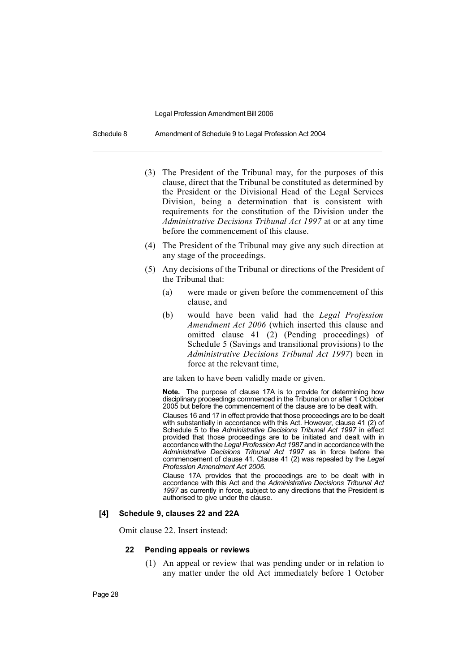Schedule 8 Amendment of Schedule 9 to Legal Profession Act 2004

- (3) The President of the Tribunal may, for the purposes of this clause, direct that the Tribunal be constituted as determined by the President or the Divisional Head of the Legal Services Division, being a determination that is consistent with requirements for the constitution of the Division under the *Administrative Decisions Tribunal Act 1997* at or at any time before the commencement of this clause.
- (4) The President of the Tribunal may give any such direction at any stage of the proceedings.
- (5) Any decisions of the Tribunal or directions of the President of the Tribunal that:
	- (a) were made or given before the commencement of this clause, and
	- (b) would have been valid had the *Legal Profession Amendment Act 2006* (which inserted this clause and omitted clause 41 (2) (Pending proceedings) of Schedule 5 (Savings and transitional provisions) to the *Administrative Decisions Tribunal Act 1997*) been in force at the relevant time,

are taken to have been validly made or given.

**Note.** The purpose of clause 17A is to provide for determining how disciplinary proceedings commenced in the Tribunal on or after 1 October 2005 but before the commencement of the clause are to be dealt with.

Clauses 16 and 17 in effect provide that those proceedings are to be dealt with substantially in accordance with this Act. However, clause 41 (2) of Schedule 5 to the *Administrative Decisions Tribunal Act 1997* in effect provided that those proceedings are to be initiated and dealt with in accordance with the *Legal ProfessionAct 1987* and in accordance with the *Administrative Decisions Tribunal Act 1997* as in force before the commencement of clause 41. Clause 41 (2) was repealed by the *Legal Profession Amendment Act 2006*.

Clause 17A provides that the proceedings are to be dealt with in accordance with this Act and the *Administrative Decisions Tribunal Act 1997* as currently in force, subject to any directions that the President is authorised to give under the clause.

#### **[4] Schedule 9, clauses 22 and 22A**

Omit clause 22. Insert instead:

#### **22 Pending appeals or reviews**

(1) An appeal or review that was pending under or in relation to any matter under the old Act immediately before 1 October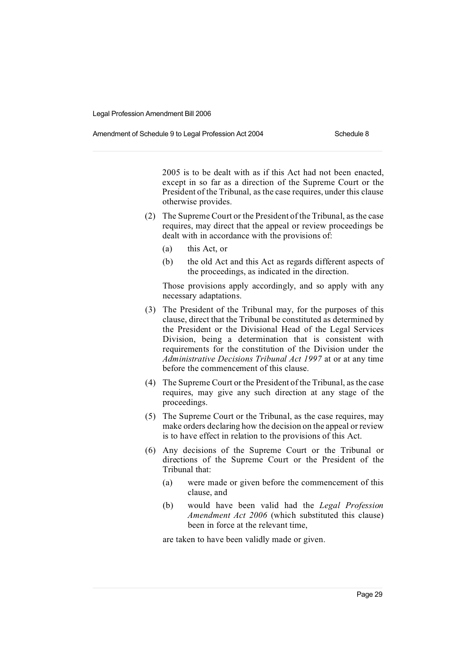Amendment of Schedule 9 to Legal Profession Act 2004 Schedule 8

2005 is to be dealt with as if this Act had not been enacted, except in so far as a direction of the Supreme Court or the President of the Tribunal, as the case requires, under this clause otherwise provides.

- (2) The Supreme Court or the President of the Tribunal, as the case requires, may direct that the appeal or review proceedings be dealt with in accordance with the provisions of:
	- (a) this Act, or
	- (b) the old Act and this Act as regards different aspects of the proceedings, as indicated in the direction.

Those provisions apply accordingly, and so apply with any necessary adaptations.

- (3) The President of the Tribunal may, for the purposes of this clause, direct that the Tribunal be constituted as determined by the President or the Divisional Head of the Legal Services Division, being a determination that is consistent with requirements for the constitution of the Division under the *Administrative Decisions Tribunal Act 1997* at or at any time before the commencement of this clause.
- (4) The Supreme Court or the President of the Tribunal, as the case requires, may give any such direction at any stage of the proceedings.
- (5) The Supreme Court or the Tribunal, as the case requires, may make orders declaring how the decision on the appeal or review is to have effect in relation to the provisions of this Act.
- (6) Any decisions of the Supreme Court or the Tribunal or directions of the Supreme Court or the President of the Tribunal that:
	- (a) were made or given before the commencement of this clause, and
	- (b) would have been valid had the *Legal Profession Amendment Act 2006* (which substituted this clause) been in force at the relevant time,

are taken to have been validly made or given.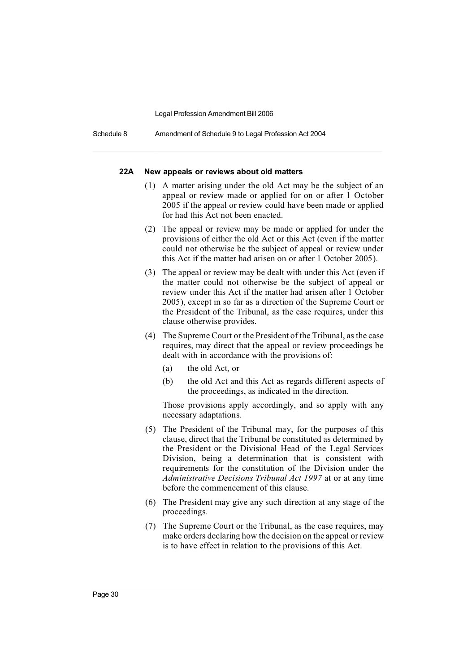Schedule 8 Amendment of Schedule 9 to Legal Profession Act 2004

#### **22A New appeals or reviews about old matters**

- (1) A matter arising under the old Act may be the subject of an appeal or review made or applied for on or after 1 October 2005 if the appeal or review could have been made or applied for had this Act not been enacted.
- (2) The appeal or review may be made or applied for under the provisions of either the old Act or this Act (even if the matter could not otherwise be the subject of appeal or review under this Act if the matter had arisen on or after 1 October 2005).
- (3) The appeal or review may be dealt with under this Act (even if the matter could not otherwise be the subject of appeal or review under this Act if the matter had arisen after 1 October 2005), except in so far as a direction of the Supreme Court or the President of the Tribunal, as the case requires, under this clause otherwise provides.
- (4) The Supreme Court or the President of the Tribunal, as the case requires, may direct that the appeal or review proceedings be dealt with in accordance with the provisions of:
	- (a) the old Act, or
	- (b) the old Act and this Act as regards different aspects of the proceedings, as indicated in the direction.

Those provisions apply accordingly, and so apply with any necessary adaptations.

- (5) The President of the Tribunal may, for the purposes of this clause, direct that the Tribunal be constituted as determined by the President or the Divisional Head of the Legal Services Division, being a determination that is consistent with requirements for the constitution of the Division under the *Administrative Decisions Tribunal Act 1997* at or at any time before the commencement of this clause.
- (6) The President may give any such direction at any stage of the proceedings.
- (7) The Supreme Court or the Tribunal, as the case requires, may make orders declaring how the decision on the appeal or review is to have effect in relation to the provisions of this Act.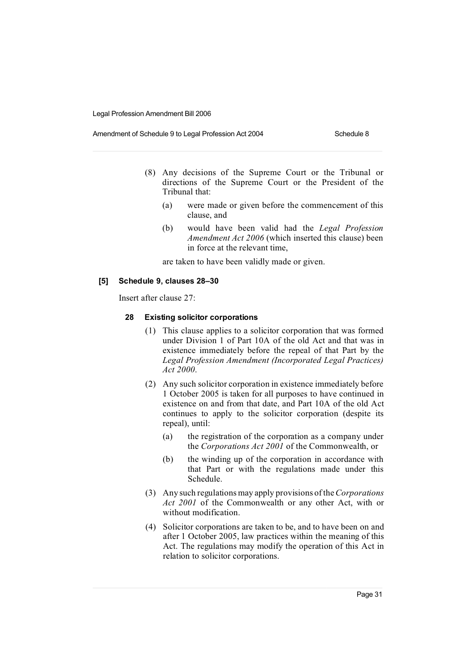#### Amendment of Schedule 9 to Legal Profession Act 2004 Schedule 8

- (8) Any decisions of the Supreme Court or the Tribunal or directions of the Supreme Court or the President of the Tribunal that:
	- (a) were made or given before the commencement of this clause, and
	- (b) would have been valid had the *Legal Profession Amendment Act 2006* (which inserted this clause) been in force at the relevant time,

are taken to have been validly made or given.

#### **[5] Schedule 9, clauses 28–30**

Insert after clause 27:

#### **28 Existing solicitor corporations**

- (1) This clause applies to a solicitor corporation that was formed under Division 1 of Part 10A of the old Act and that was in existence immediately before the repeal of that Part by the *Legal Profession Amendment (Incorporated Legal Practices) Act 2000*.
- (2) Any such solicitor corporation in existence immediately before 1 October 2005 is taken for all purposes to have continued in existence on and from that date, and Part 10A of the old Act continues to apply to the solicitor corporation (despite its repeal), until:
	- (a) the registration of the corporation as a company under the *Corporations Act 2001* of the Commonwealth, or
	- (b) the winding up of the corporation in accordance with that Part or with the regulations made under this Schedule.
- (3) Any such regulationsmay apply provisions of the*Corporations Act 2001* of the Commonwealth or any other Act, with or without modification.
- (4) Solicitor corporations are taken to be, and to have been on and after 1 October 2005, law practices within the meaning of this Act. The regulations may modify the operation of this Act in relation to solicitor corporations.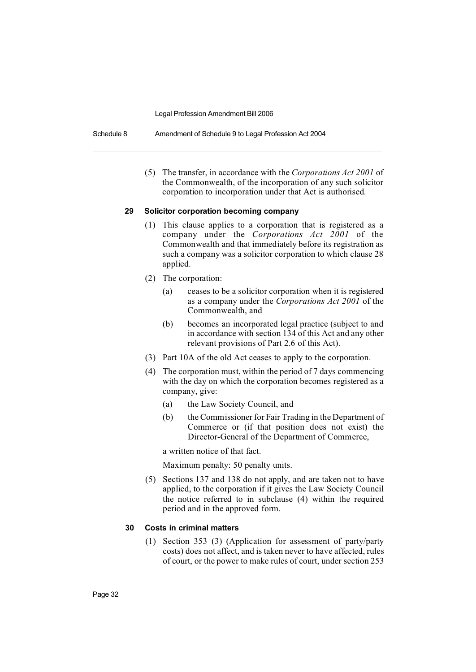Schedule 8 Amendment of Schedule 9 to Legal Profession Act 2004

(5) The transfer, in accordance with the *Corporations Act 2001* of the Commonwealth, of the incorporation of any such solicitor corporation to incorporation under that Act is authorised.

#### **29 Solicitor corporation becoming company**

- (1) This clause applies to a corporation that is registered as a company under the *Corporations Act 2001* of the Commonwealth and that immediately before its registration as such a company was a solicitor corporation to which clause 28 applied.
- (2) The corporation:
	- (a) ceases to be a solicitor corporation when it is registered as a company under the *Corporations Act 2001* of the Commonwealth, and
	- (b) becomes an incorporated legal practice (subject to and in accordance with section 134 of this Act and any other relevant provisions of Part 2.6 of this Act).
- (3) Part 10A of the old Act ceases to apply to the corporation.
- (4) The corporation must, within the period of 7 days commencing with the day on which the corporation becomes registered as a company, give:
	- (a) the Law Society Council, and
	- (b) the Commissioner for Fair Trading in the Department of Commerce or (if that position does not exist) the Director-General of the Department of Commerce,

a written notice of that fact.

Maximum penalty: 50 penalty units.

(5) Sections 137 and 138 do not apply, and are taken not to have applied, to the corporation if it gives the Law Society Council the notice referred to in subclause (4) within the required period and in the approved form.

## **30 Costs in criminal matters**

(1) Section 353 (3) (Application for assessment of party/party costs) does not affect, and is taken never to have affected, rules of court, or the power to make rules of court, under section 253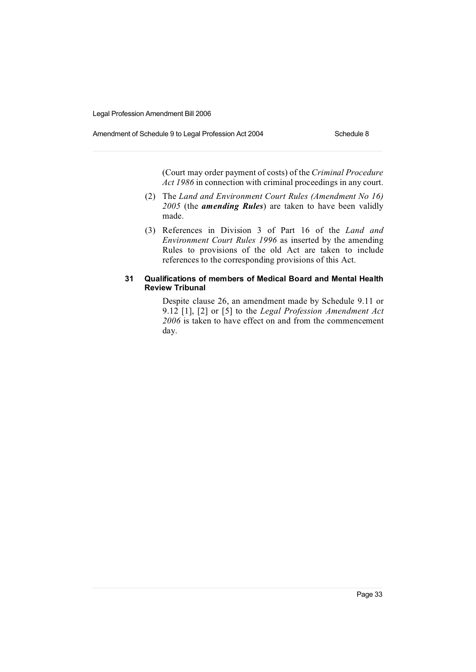Amendment of Schedule 9 to Legal Profession Act 2004 Schedule 8

(Court may order payment of costs) of the *Criminal Procedure Act 1986* in connection with criminal proceedings in any court.

- (2) The *Land and Environment Court Rules (Amendment No 16) 2005* (the *amending Rules*) are taken to have been validly made.
- (3) References in Division 3 of Part 16 of the *Land and Environment Court Rules 1996* as inserted by the amending Rules to provisions of the old Act are taken to include references to the corresponding provisions of this Act.

## **31 Qualifications of members of Medical Board and Mental Health Review Tribunal**

Despite clause 26, an amendment made by Schedule 9.11 or 9.12 [1], [2] or [5] to the *Legal Profession Amendment Act 2006* is taken to have effect on and from the commencement day.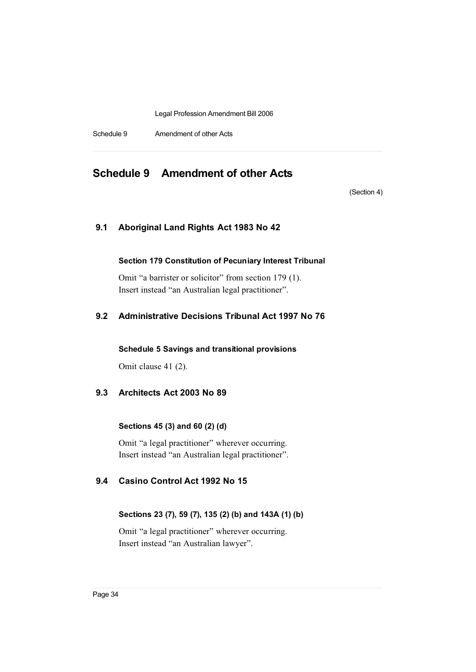Schedule 9 Amendment of other Acts

## **Schedule 9 Amendment of other Acts**

(Section 4)

## **9.1 Aboriginal Land Rights Act 1983 No 42**

## **Section 179 Constitution of Pecuniary Interest Tribunal**

Omit "a barrister or solicitor" from section 179 (1). Insert instead "an Australian legal practitioner".

## **9.2 Administrative Decisions Tribunal Act 1997 No 76**

**Schedule 5 Savings and transitional provisions**

Omit clause 41 (2).

## **9.3 Architects Act 2003 No 89**

## **Sections 45 (3) and 60 (2) (d)**

Omit "a legal practitioner" wherever occurring. Insert instead "an Australian legal practitioner".

## **9.4 Casino Control Act 1992 No 15**

## **Sections 23 (7), 59 (7), 135 (2) (b) and 143A (1) (b)**

Omit "a legal practitioner" wherever occurring. Insert instead "an Australian lawyer".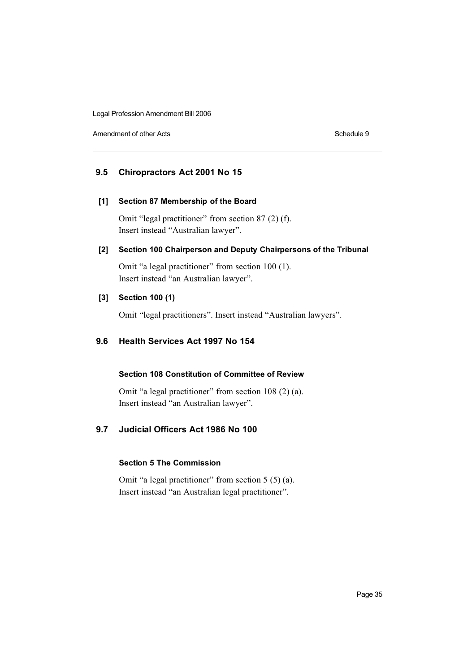Amendment of other Acts **Schedule 9** Schedule 9

## **9.5 Chiropractors Act 2001 No 15**

#### **[1] Section 87 Membership of the Board**

Omit "legal practitioner" from section 87 (2) (f). Insert instead "Australian lawyer".

## **[2] Section 100 Chairperson and Deputy Chairpersons of the Tribunal**

Omit "a legal practitioner" from section 100 (1). Insert instead "an Australian lawyer".

## **[3] Section 100 (1)**

Omit "legal practitioners". Insert instead "Australian lawyers".

## **9.6 Health Services Act 1997 No 154**

## **Section 108 Constitution of Committee of Review**

Omit "a legal practitioner" from section 108 (2) (a). Insert instead "an Australian lawyer".

## **9.7 Judicial Officers Act 1986 No 100**

## **Section 5 The Commission**

Omit "a legal practitioner" from section 5 (5) (a). Insert instead "an Australian legal practitioner".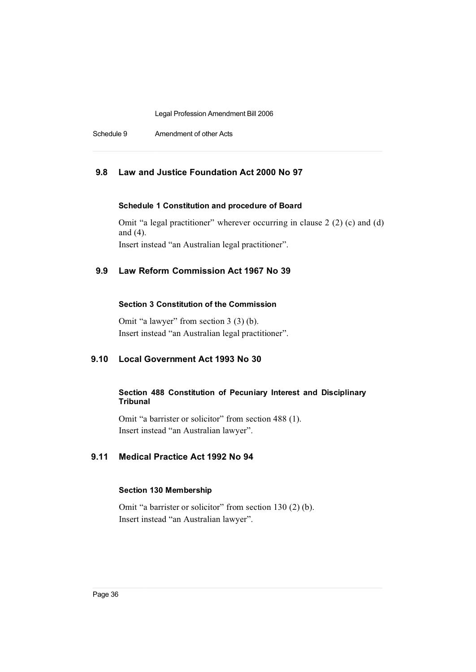Schedule 9 Amendment of other Acts

## **9.8 Law and Justice Foundation Act 2000 No 97**

## **Schedule 1 Constitution and procedure of Board**

Omit "a legal practitioner" wherever occurring in clause 2 (2) (c) and (d) and (4). Insert instead "an Australian legal practitioner".

## **9.9 Law Reform Commission Act 1967 No 39**

## **Section 3 Constitution of the Commission**

Omit "a lawyer" from section 3 (3) (b). Insert instead "an Australian legal practitioner".

## **9.10 Local Government Act 1993 No 30**

## **Section 488 Constitution of Pecuniary Interest and Disciplinary Tribunal**

Omit "a barrister or solicitor" from section 488 (1). Insert instead "an Australian lawyer".

## **9.11 Medical Practice Act 1992 No 94**

#### **Section 130 Membership**

Omit "a barrister or solicitor" from section 130 (2) (b). Insert instead "an Australian lawyer".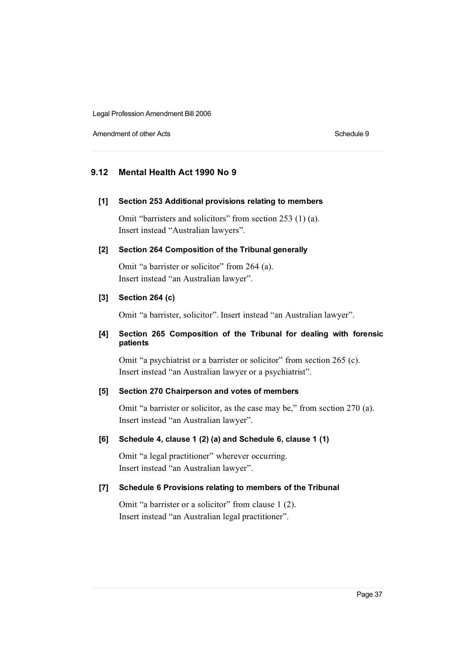Amendment of other Acts **Schedule 9** and the Acts Schedule 9 and the Schedule 9 and the Schedule 9 and the Schedule 9 and the Schedule 9 and the Schedule 9 and the Schedule 9 and the Schedule 9 and the Schedule 9 and the S

## **9.12 Mental Health Act 1990 No 9**

#### **[1] Section 253 Additional provisions relating to members**

Omit "barristers and solicitors" from section 253 (1) (a). Insert instead "Australian lawyers".

#### **[2] Section 264 Composition of the Tribunal generally**

Omit "a barrister or solicitor" from 264 (a). Insert instead "an Australian lawyer".

#### **[3] Section 264 (c)**

Omit "a barrister, solicitor". Insert instead "an Australian lawyer".

## **[4] Section 265 Composition of the Tribunal for dealing with forensic patients**

Omit "a psychiatrist or a barrister or solicitor" from section 265 (c). Insert instead "an Australian lawyer or a psychiatrist".

## **[5] Section 270 Chairperson and votes of members**

Omit "a barrister or solicitor, as the case may be," from section 270 (a). Insert instead "an Australian lawyer".

## **[6] Schedule 4, clause 1 (2) (a) and Schedule 6, clause 1 (1)**

Omit "a legal practitioner" wherever occurring. Insert instead "an Australian lawyer".

## **[7] Schedule 6 Provisions relating to members of the Tribunal**

Omit "a barrister or a solicitor" from clause 1 (2). Insert instead "an Australian legal practitioner".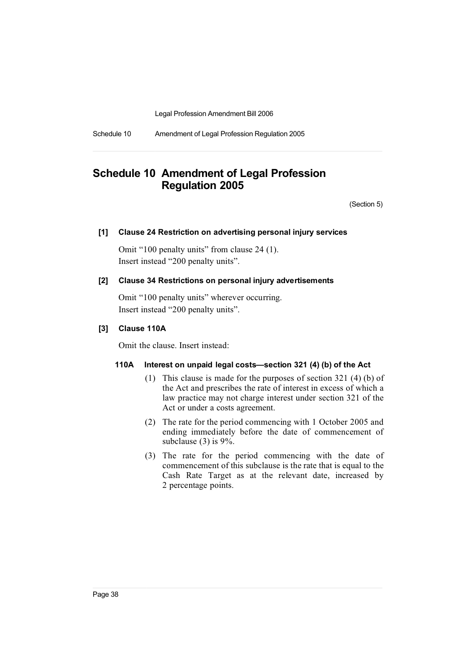Schedule 10 Amendment of Legal Profession Regulation 2005

# **Schedule 10 Amendment of Legal Profession Regulation 2005**

(Section 5)

## **[1] Clause 24 Restriction on advertising personal injury services**

Omit "100 penalty units" from clause 24 (1). Insert instead "200 penalty units".

#### **[2] Clause 34 Restrictions on personal injury advertisements**

Omit "100 penalty units" wherever occurring. Insert instead "200 penalty units".

## **[3] Clause 110A**

Omit the clause. Insert instead:

#### **110A Interest on unpaid legal costs—section 321 (4) (b) of the Act**

- (1) This clause is made for the purposes of section 321 (4) (b) of the Act and prescribes the rate of interest in excess of which a law practice may not charge interest under section 321 of the Act or under a costs agreement.
- (2) The rate for the period commencing with 1 October 2005 and ending immediately before the date of commencement of subclause (3) is 9%.
- (3) The rate for the period commencing with the date of commencement of this subclause is the rate that is equal to the Cash Rate Target as at the relevant date, increased by 2 percentage points.